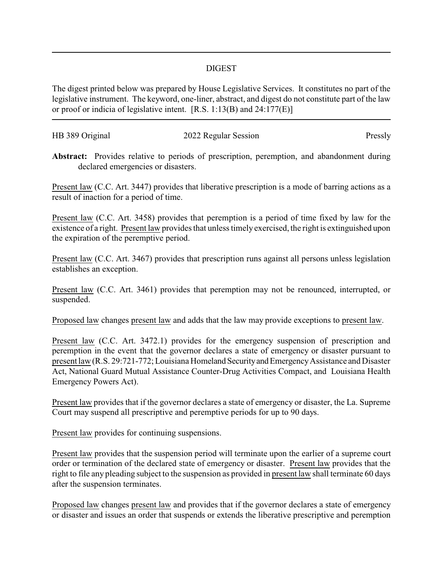## DIGEST

The digest printed below was prepared by House Legislative Services. It constitutes no part of the legislative instrument. The keyword, one-liner, abstract, and digest do not constitute part of the law or proof or indicia of legislative intent. [R.S. 1:13(B) and 24:177(E)]

| HB 389 Original | 2022 Regular Session | Pressly |
|-----------------|----------------------|---------|
|                 |                      |         |

**Abstract:** Provides relative to periods of prescription, peremption, and abandonment during declared emergencies or disasters.

Present law (C.C. Art. 3447) provides that liberative prescription is a mode of barring actions as a result of inaction for a period of time.

Present law (C.C. Art. 3458) provides that peremption is a period of time fixed by law for the existence of a right. Present law provides that unless timely exercised, the right is extinguished upon the expiration of the peremptive period.

Present law (C.C. Art. 3467) provides that prescription runs against all persons unless legislation establishes an exception.

Present law (C.C. Art. 3461) provides that peremption may not be renounced, interrupted, or suspended.

Proposed law changes present law and adds that the law may provide exceptions to present law.

Present law (C.C. Art. 3472.1) provides for the emergency suspension of prescription and peremption in the event that the governor declares a state of emergency or disaster pursuant to present law (R.S. 29:721-772; Louisiana Homeland Security and Emergency Assistance and Disaster Act, National Guard Mutual Assistance Counter-Drug Activities Compact, and Louisiana Health Emergency Powers Act).

Present law provides that if the governor declares a state of emergency or disaster, the La. Supreme Court may suspend all prescriptive and peremptive periods for up to 90 days.

Present law provides for continuing suspensions.

Present law provides that the suspension period will terminate upon the earlier of a supreme court order or termination of the declared state of emergency or disaster. Present law provides that the right to file any pleading subject to the suspension as provided in present law shall terminate 60 days after the suspension terminates.

Proposed law changes present law and provides that if the governor declares a state of emergency or disaster and issues an order that suspends or extends the liberative prescriptive and peremption